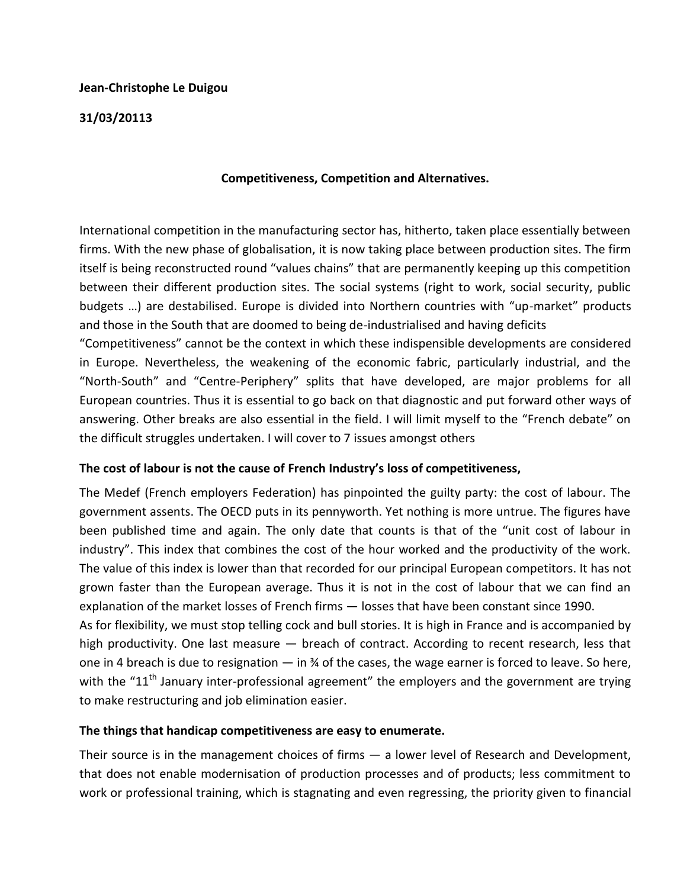#### **Jean-Christophe Le Duigou**

#### **31/03/20113**

### **Competitiveness, Competition and Alternatives.**

International competition in the manufacturing sector has, hitherto, taken place essentially between firms. With the new phase of globalisation, it is now taking place between production sites. The firm itself is being reconstructed round "values chains" that are permanently keeping up this competition between their different production sites. The social systems (right to work, social security, public budgets …) are destabilised. Europe is divided into Northern countries with "up-market" products and those in the South that are doomed to being de-industrialised and having deficits

"Competitiveness" cannot be the context in which these indispensible developments are considered in Europe. Nevertheless, the weakening of the economic fabric, particularly industrial, and the "North-South" and "Centre-Periphery" splits that have developed, are major problems for all European countries. Thus it is essential to go back on that diagnostic and put forward other ways of answering. Other breaks are also essential in the field. I will limit myself to the "French debate" on the difficult struggles undertaken. I will cover to 7 issues amongst others

## **The cost of labour is not the cause of French Industry's loss of competitiveness,**

The Medef (French employers Federation) has pinpointed the guilty party: the cost of labour. The government assents. The OECD puts in its pennyworth. Yet nothing is more untrue. The figures have been published time and again. The only date that counts is that of the "unit cost of labour in industry". This index that combines the cost of the hour worked and the productivity of the work. The value of this index is lower than that recorded for our principal European competitors. It has not grown faster than the European average. Thus it is not in the cost of labour that we can find an explanation of the market losses of French firms — losses that have been constant since 1990.

As for flexibility, we must stop telling cock and bull stories. It is high in France and is accompanied by high productivity. One last measure — breach of contract. According to recent research, less that one in 4 breach is due to resignation — in ¾ of the cases, the wage earner is forced to leave. So here, with the "11<sup>th</sup> January inter-professional agreement" the employers and the government are trying to make restructuring and job elimination easier.

#### **The things that handicap competitiveness are easy to enumerate.**

Their source is in the management choices of firms — a lower level of Research and Development, that does not enable modernisation of production processes and of products; less commitment to work or professional training, which is stagnating and even regressing, the priority given to financial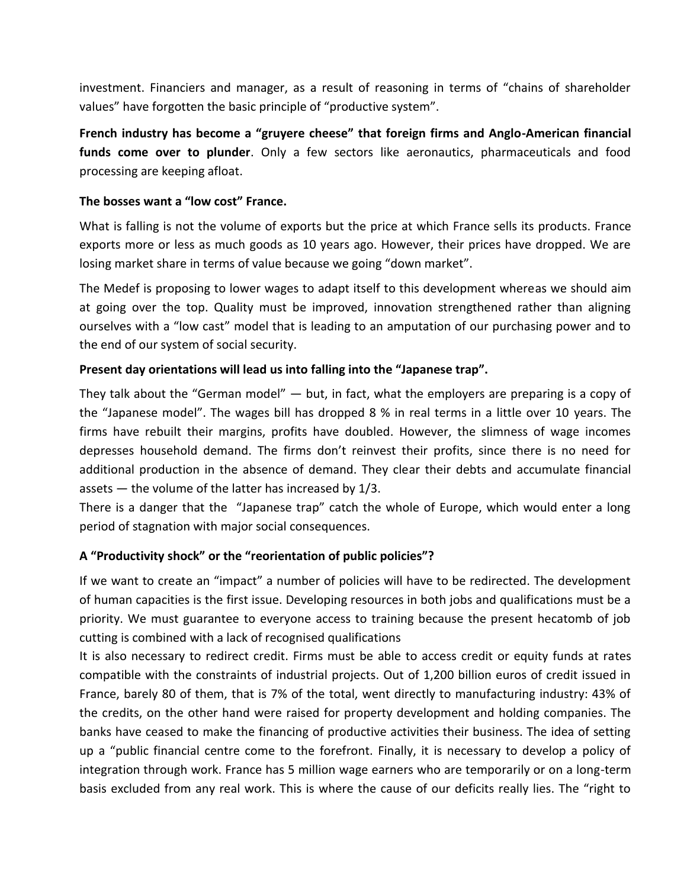investment. Financiers and manager, as a result of reasoning in terms of "chains of shareholder values" have forgotten the basic principle of "productive system".

**French industry has become a "gruyere cheese" that foreign firms and Anglo-American financial funds come over to plunder**. Only a few sectors like aeronautics, pharmaceuticals and food processing are keeping afloat.

### **The bosses want a "low cost" France.**

What is falling is not the volume of exports but the price at which France sells its products. France exports more or less as much goods as 10 years ago. However, their prices have dropped. We are losing market share in terms of value because we going "down market".

The Medef is proposing to lower wages to adapt itself to this development whereas we should aim at going over the top. Quality must be improved, innovation strengthened rather than aligning ourselves with a "low cast" model that is leading to an amputation of our purchasing power and to the end of our system of social security.

## **Present day orientations will lead us into falling into the "Japanese trap".**

They talk about the "German model" — but, in fact, what the employers are preparing is a copy of the "Japanese model". The wages bill has dropped 8 % in real terms in a little over 10 years. The firms have rebuilt their margins, profits have doubled. However, the slimness of wage incomes depresses household demand. The firms don't reinvest their profits, since there is no need for additional production in the absence of demand. They clear their debts and accumulate financial assets — the volume of the latter has increased by 1/3.

There is a danger that the "Japanese trap" catch the whole of Europe, which would enter a long period of stagnation with major social consequences.

## **A "Productivity shock" or the "reorientation of public policies"?**

If we want to create an "impact" a number of policies will have to be redirected. The development of human capacities is the first issue. Developing resources in both jobs and qualifications must be a priority. We must guarantee to everyone access to training because the present hecatomb of job cutting is combined with a lack of recognised qualifications

It is also necessary to redirect credit. Firms must be able to access credit or equity funds at rates compatible with the constraints of industrial projects. Out of 1,200 billion euros of credit issued in France, barely 80 of them, that is 7% of the total, went directly to manufacturing industry: 43% of the credits, on the other hand were raised for property development and holding companies. The banks have ceased to make the financing of productive activities their business. The idea of setting up a "public financial centre come to the forefront. Finally, it is necessary to develop a policy of integration through work. France has 5 million wage earners who are temporarily or on a long-term basis excluded from any real work. This is where the cause of our deficits really lies. The "right to